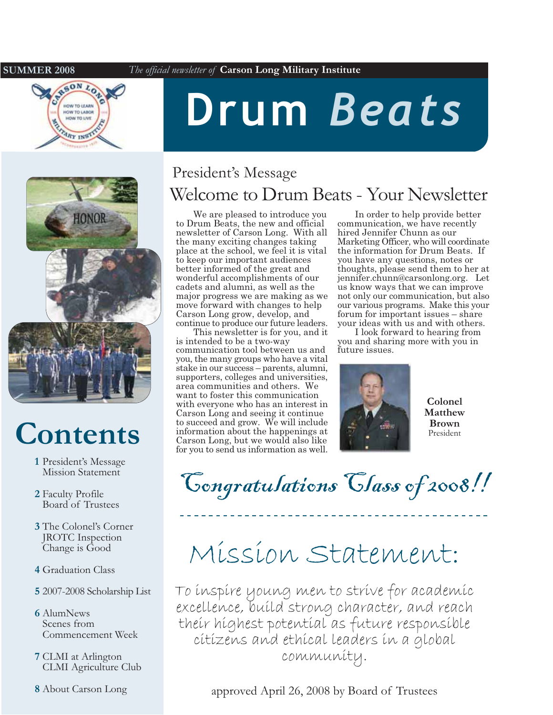#### **SUMMER 2008**





# **Contents**

- 1 President's Message **Mission Statement**
- 2 Faculty Profile Board of Trustees
- 3 The Colonel's Corner **JROTC** Inspection Change is Good
- 4 Graduation Class
- 5 2007-2008 Scholarship List
- **6** AlumNews Scenes from Commencement Week
- 7 CLMI at Arlington **CLMI** Agriculture Club
- 8 About Carson Long

# Drum Beats

### President's Message Welcome to Drum Beats - Your Newsletter

We are pleased to introduce you to Drum Beats, the new and official newsletter of Carson Long. With all the many exciting changes taking place at the school, we feel it is vital to keep our important audiences better informed of the great and wonderful accomplishments of our cadets and alumni, as well as the major progress we are making as we move forward with changes to help Carson Long grow, develop, and continue to produce our future leaders.

This newsletter is for you, and it is intended to be a two-way communication tool between us and you, the many groups who have a vital stake in our success – parents, alumni, supporters, colleges and universities, area communities and others. We want to foster this communication with everyone who has an interest in Carson Long and seeing it continue to succeed and grow. We will include information about the happenings at Carson Long, but we would also like for you to send us information as well.

In order to help provide better communication, we have recently hired Jennifer Chunn as our Marketing Officer, who will coordinate the information for Drum Beats. If you have any questions, notes or thoughts, please send them to her at jennifer.chunn@carsonlong.org. Let us know ways that we can improve not only our communication, but also our various programs. Make this your forum for important issues – share your ideas with us and with others.

I look forward to hearing from you and sharing more with you in future issues.



Colonel Matthew **Brown** President

Congratulations Class of 2008!!

# Mission Statement:

To inspire young men to strive for academic excellence, build strong character, and reach their highest potential as future responsible cítizens and ethical leaders in a global community.

approved April 26, 2008 by Board of Trustees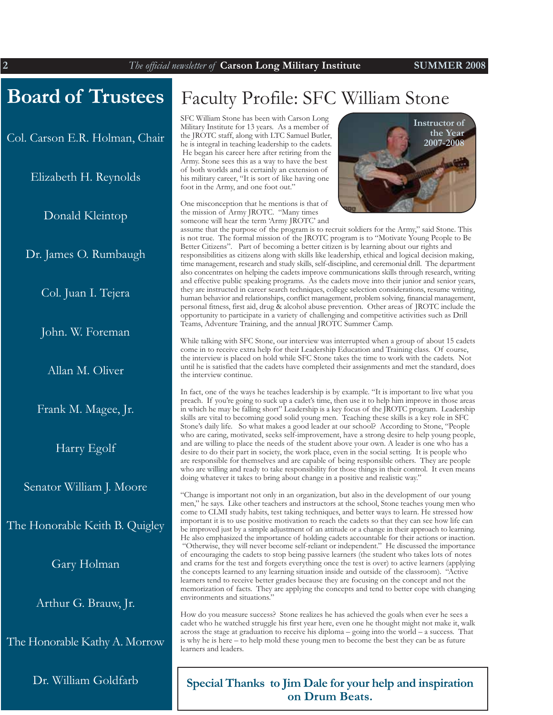### **Board of Trustees**

Col. Carson E.R. Holman, Chair

Elizabeth H. Reynolds

Donald Kleintop

Dr. James O. Rumbaugh

Col. Juan I. Tejera

John. W. Foreman

Allan M. Oliver

Frank M. Magee, Jr.

Harry Egolf

Senator William J. Moore

The Honorable Keith B. Quigley

Gary Holman

Arthur G. Brauw, Jr.

The Honorable Kathy A. Morrow

Dr. William Goldfarb

### Faculty Profile: SFC William Stone

SFC William Stone has been with Carson Long Military Institute for 13 years. As a member of the JROTC staff, along with LTC Samuel Butler, he is integral in teaching leadership to the cadets. He began his career here after retiring from the Army. Stone sees this as a way to have the best of both worlds and is certainly an extension of his military career, "It is sort of like having one foot in the Army, and one foot out."

One misconception that he mentions is that of the mission of Army JROTC. "Many times someone will hear the term 'Army JROTC' and



assume that the purpose of the program is to recruit soldiers for the Army," said Stone. This is not true. The formal mission of the JROTC program is to "Motivate Young People to Be Better Citizens". Part of becoming a better citizen is by learning about our rights and responsibilities as citizens along with skills like leadership, ethical and logical decision making, time management, research and study skills, self-discipline, and ceremonial drill. The department also concentrates on helping the cadets improve communications skills through research, writing and effective public speaking programs. As the cadets move into their junior and senior years, they are instructed in career search techniques, college selection considerations, resume writing, human behavior and relationships, conflict management, problem solving, financial management, personal fitness, first aid, drug & alcohol abuse prevention. Other areas of JROTC include the opportunity to participate in a variety of challenging and competitive activities such as Drill Teams, Adventure Training, and the annual JROTC Summer Camp.

While talking with SFC Stone, our interview was interrupted when a group of about 15 cadets come in to receive extra help for their Leadership Education and Training class. Of course, the interview is placed on hold while SFC Stone takes the time to work with the cadets. Not until he is satisfied that the cadets have completed their assignments and met the standard, does the interview continue.

In fact, one of the ways he teaches leadership is by example. "It is important to live what you preach. If you're going to suck up a cadet's time, then use it to help him improve in those areas in which he may be falling short" Leadership is a key focus of the JROTC program. Leadership skills are vital to becoming good solid young men. Teaching these skills is a key role in SFC Stone's daily life. So what makes a good leader at our school? According to Stone, "People who are caring, motivated, seeks self-improvement, have a strong desire to help young people, and are willing to place the needs of the student above your own. A leader is one who has a desire to do their part in society, the work place, even in the social setting. It is people who are responsible for themselves and are capable of being responsible others. They are people who are willing and ready to take responsibility for those things in their control. It even means doing whatever it takes to bring about change in a positive and realistic way."

"Change is important not only in an organization, but also in the development of our young men," he says. Like other teachers and instructors at the school, Stone teaches young men who come to CLMI study habits, test taking techniques, and better ways to learn. He stressed how important it is to use positive motivation to reach the cadets so that they can see how life can be improved just by a simple adjustment of an attitude or a change in their approach to learning. He also emphasized the importance of holding cadets accountable for their actions or inaction. "Otherwise, they will never become self-reliant or independent." He discussed the importance of encouraging the cadets to stop being passive learners (the student who takes lots of notes and crams for the test and forgets everything once the test is over) to active learners (applying the concepts learned to any learning situation inside and outside of the classroom). "Active learners tend to receive better grades because they are focusing on the concept and not the memorization of facts. They are applying the concepts and tend to better cope with changing environments and situations."

How do you measure success? Stone realizes he has achieved the goals when ever he sees a cadet who he watched struggle his first year here, even one he thought might not make it, walk across the stage at graduation to receive his diploma - going into the world - a success. That is why he is here – to help mold these young men to become the best they can be as future learners and leaders.

#### Special Thanks to Jim Dale for your help and inspiration on Drum Beats.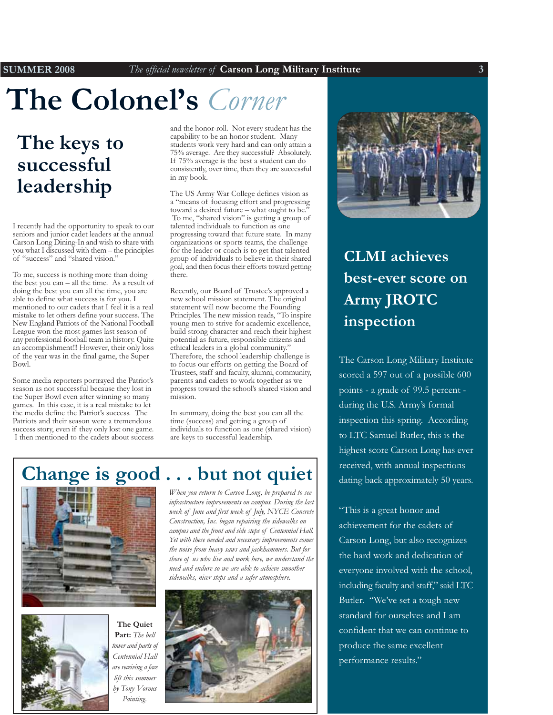# The Colonel's Corner

### The keys to successful leadership

I recently had the opportunity to speak to our seniors and junior cadet leaders at the annual Carson Long Dining-In and wish to share with you what I discussed with them - the principles of "success" and "shared vision."

To me, success is nothing more than doing the best you can - all the time. As a result of doing the best you can all the time, you are able to define what success is for you. I mentioned to our cadets that I feel it is a real mistake to let others define your success. The New England Patriots of the National Football League won the most games last season of any professional football team in history. Ouite an accomplishment!!! However, their only loss of the year was in the final game, the Super  $Bow1$ 

Some media reporters portrayed the Patriot's season as not successful because they lost in the Super Bowl even after winning so many games. In this case, it is a real mistake to let the media define the Patriot's success. The Patriots and their season were a tremendous success story, even if they only lost one game. I then mentioned to the cadets about success and the honor-roll. Not every student has the capability to be an honor student. Many students work very hard and can only attain a 75% average. Are they successful? Absolutely. If 75% average is the best a student can do consistently, over time, then they are successful in my book.

The US Army War College defines vision as a "means of focusing effort and progressing toward a desired future – what ought to be. To me, "shared vision" is getting a group of talented individuals to function as one progressing toward that future state. In many organizations or sports teams, the challenge for the leader or coach is to get that talented group of individuals to believe in their shared goal, and then focus their efforts toward getting there.

Recently, our Board of Trustee's approved a new school mission statement. The original statement will now become the Founding Principles. The new mission reads, "To inspire young men to strive for academic excellence, build strong character and reach their highest potential as future, responsible citizens and ethical leaders in a global community." Therefore, the school leadership challenge is to focus our efforts on getting the Board of Trustees, staff and faculty, alumni, community, parents and cadets to work together as we progress toward the school's shared vision and mission.

In summary, doing the best you can all the time (success) and getting a group of individuals to function as one (shared vision) are keys to successful leadership.

### Change is good . . . but not quiet



The Quiet Part: The bell tower and parts of Centennial Hall are receiving a face lift this summer by Tony Vorous Painting.

When you return to Carson Long, be prepared to see infrastructure improvements on campus. During the last week of June and first week of July, NYCE Concrete Construction, Inc. began repairing the sidewalks on campus and the front and side steps of Centennial Hall. Yet with these needed and necessary improvements comes the noise from heavy saws and jackhammers. But for those of us who live and work here, we understand the need and endure so we are able to achieve smoother sidewalks, nicer steps and a safer atmosphere.





### **CLMI** achieves best-ever score on Army JROTC inspection

The Carson Long Military Institute scored a 597 out of a possible 600 points - a grade of 99.5 percent during the U.S. Army's formal inspection this spring. According to LTC Samuel Butler, this is the highest score Carson Long has ever received, with annual inspections dating back approximately 50 years.

"This is a great honor and achievement for the cadets of Carson Long, but also recognizes the hard work and dedication of everyone involved with the school, including faculty and staff," said LTC Butler. "We've set a tough new standard for ourselves and I am confident that we can continue to produce the same excellent performance results."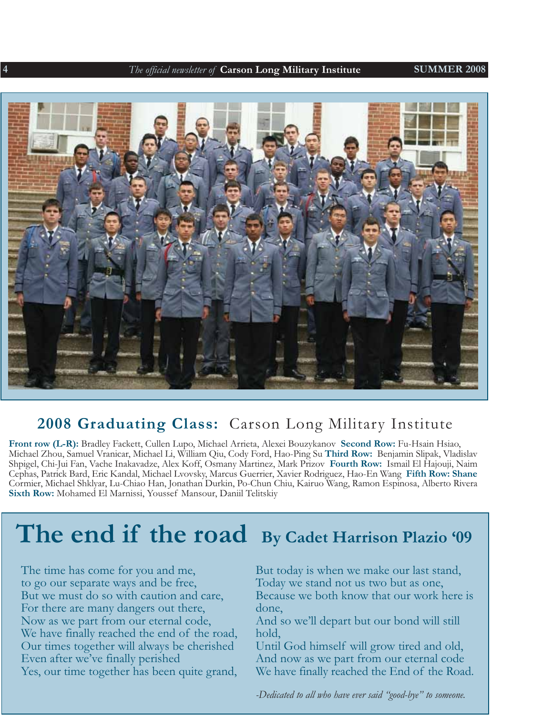

### 2008 Graduating Class: Carson Long Military Institute

Front row (L-R): Bradley Fackett, Cullen Lupo, Michael Arrieta, Alexei Bouzykanov Second Row: Fu-Hsain Hsiao, Michael Zhou, Samuel Vranicar, Michael Li, William Qiu, Cody Ford, Hao-Ping Su Third Row: Benjamin Slipak, Vladislav Shpigel, Chi-Jui Fan, Vache Inakavadze, Alex Koff, Osmany Martinez, Mark Prizov Fourth Row: Ismail El Hajouji, Naim Cephas, Patrick Bard, Eric Kandal, Michael Lvovsky, Marcus Guerrier, Xavier Rodriguez, Hao-En Wang Fifth Row: Shane Cormier, Michael Shklyar, Lu-Chiao Han, Jonathan Durkin, Po-Chun Chiu, Kairuo Wang, Ramon Espinosa, Alberto Rivera Sixth Row: Mohamed El Marnissi, Youssef Mansour, Daniil Telitskiy

### The end if the road By Cadet Harrison Plazio '09

The time has come for you and me, to go our separate ways and be free, But we must do so with caution and care, For there are many dangers out there, Now as we part from our eternal code, We have finally reached the end of the road, Our times together will always be cherished Even after we've finally perished Yes, our time together has been quite grand, But today is when we make our last stand, Today we stand not us two but as one, Because we both know that our work here is done. And so we'll depart but our bond will still hold. Until God himself will grow tired and old, And now as we part from our eternal code We have finally reached the End of the Road.

-Dedicated to all who have ever said "good-bye" to someone.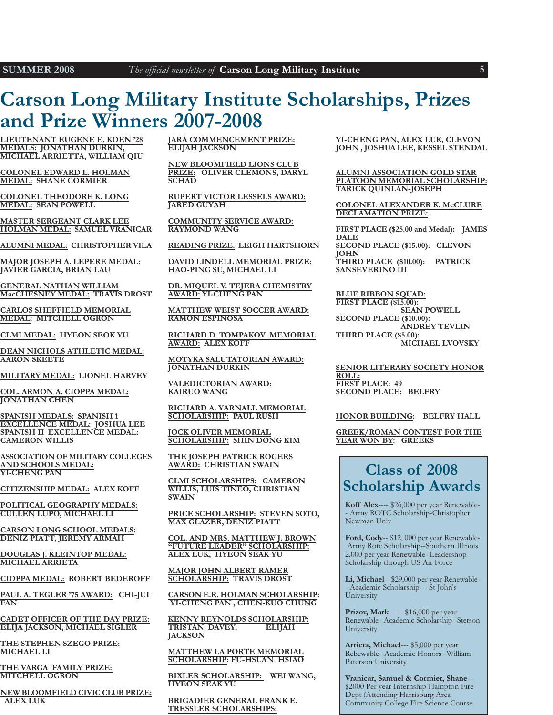### **Carson Long Military Institute Scholarships, Prizes** and Prize Winners 2007-2008

LIEUTENANT EUGENE E. KOEN '28 **MEDALS: JONATHAN DURKIN, MICHAEL ARRIETTA, WILLIAM QIU** 

COLONEL EDWARD L. HOLMAN **MEDAL: SHANE CORMIER** 

**COLONEL THEODORE K. LONG MEDAL: SEAN POWELL** 

**MASTER SERGEANT CLARK LEE** HOLMAN MEDAL: SAMUEL VRANICAR

ALUMNI MEDAL: CHRISTOPHER VILA

MAJOR JOSEPH A. LEPERE MEDAL: **JAVIER GARCIA, BRIAN LAU** 

**GENERAL NATHAN WILLIAM** MacCHESNEY MEDAL: TRAVIS DROST

**CARLOS SHEFFIELD MEMORIAL MEDAL: MITCHELL OGRON** 

CLMI MEDAL: HYEON SEOK YU

DEAN NICHOLS ATHLETIC MEDAL: **AARON SKEETE** 

MILITARY MEDAL: LIONEL HARVEY

COL. ARMON A. CIOPPA MEDAL: **JONATHAN CHEN** 

SPANISH MEDALS: SPANISH 1 **EXCELLENCE MEDAL: JOSHUA LEE** SPANISH II EXCELLENCE MEDAL: **CAMERON WILLIS** 

ASSOCIATION OF MILITARY COLLEGES **AND SCHOOLS MEDAL: YI-CHENG PAN** 

CITIZENSHIP MEDAL: ALEX KOFF

POLITICAL GEOGRAPHY MEDALS: **CULLEN LUPO, MICHAEL LI** 

**CARSON LONG SCHOOL MEDALS: DENIZ PIATT, JEREMY ARMAH** 

DOUGLAS J. KLEINTOP MEDAL: **MICHAEL ARRIETA** 

CIOPPA MEDAL: ROBERT BEDEROFF

PAUL A. TEGLER '75 AWARD: CHI-JUI  $FAN$ 

**CADET OFFICER OF THE DAY PRIZE: ELIJA JACKSON, MICHAEL SIGLER** 

THE STEPHEN SZEGO PRIZE: **MICHAEL LI** 

THE VARGA FAMILY PRIZE: **MITCHELL OGRON** 

NEW BLOOMFIELD CIVIC CLUB PRIZE: **ALEX LUK** 

**JARA COMMENCEMENT PRIZE: ELIJAH JACKSON** 

**NEW BLOOMFIELD LIONS CLUB** PRIZE: OLIVER CLEMONS, DARYL **SCHAD** 

RUPERT VICTOR LESSELS AWARD: **JARED GUYAH** 

**COMMUNITY SERVICE AWARD: RAYMOND WANG** 

READING PRIZE: LEIGH HARTSHORN

DAVID LINDELL MEMORIAL PRIZE: HAO-PING SU, MICHAEL LI

DR. MIQUEL V. TEJERA CHEMISTRY **AWARD: YI-CHENG PAN** 

MATTHEW WEIST SOCCER AWARD: RAMON ESPINOSA

RICHARD D. TOMPAKOV MEMORIAL **AWARD: ALEX KOFF** 

MOTYKA SALUTATORIAN AWARD: **JONATHAN DURKIN** 

**VALEDICTORIAN AWARD: KAIRUO WANG** 

RICHARD A. YARNALL MEMORIAL **SCHOLARSHIP: PAUL RUSH** 

**IOCK OLIVER MEMORIAL SCHOLARSHIP: SHIN DONG KIM** 

THE JOSEPH PATRICK ROGERS **AWARD: CHRISTIAN SWAIN** 

CLMI SCHOLARSHIPS: CAMERON **WILLIS, LUIS TINEO, CHRISTIAN SWAIN** 

PRICE SCHOLARSHIP: STEVEN SOTO, **MAX GLAZER, DENIZ PIATT** 

COL. AND MRS. MATTHEW J. BROWN "FUTURE LEADER" SCHOLARSHIP: ALEX LUK, HYEON SEAK YU

**MAJOR JOHN ALBERT RAMER** SCHOLARSHIP: TRAVIS DROST

CARSON E.R. HOLMAN SCHOLARSHIP: YI-CHENG PAN, CHEN-KUO CHUNG

KENNY REYNOLDS SCHOLARSHIP: TRISTAN DAVEY, **ELIJAH JACKSON** 

**MATTHEW LA PORTE MEMORIAL SCHOLARSHIP: FU-HSUAN HSIAO** 

BIXLER SCHOLARSHIP: WEI WANG, **HYEON SEAK YU** 

**BRIGADIER GENERAL FRANK E. TRESSLER SCHOLARSHIPS:** 

YI-CHENG PAN, ALEX LUK, CLEVON JOHN, JOSHUA LEE, KESSEL STENDAL

ALUMNI ASSOCIATION GOLD STAR PLATOON MEMORIAL SCHOLARSHIP: **TARICK QUINLAN-JOSEPH** 

**COLONEL ALEXANDER K. McCLURE DECLAMATION PRIZE:** 

FIRST PLACE (\$25.00 and Medal): JAMES **DALE** SECOND PLACE (\$15.00): CLEVON **JOHN** THIRD PLACE (\$10.00): PATRICK SANSEVERINO III

**BLUE RIBBON SQUAD:** FIRST PLACE (\$15.00): **SEÁN POWELL** SECOND PLACE (\$10.00): **ANDREY TEVLIN** THIRD PLACE (\$5.00): **MICHAEL LVOVSKY** 

SENIOR LITERARY SOCIETY HONOR ROLL: FIRST PLACE: 49 **SECOND PLACE: BELFRY** 

#### HONOR BUILDING: BELFRY HALL

**GREEK/ROMAN CONTEST FOR THE** YEAR WON BY: GREEKS

### **Class of 2008 Scholarship Awards**

Koff Alex---- \$26,000 per year Renewable-- Army ROTC Scholarship-Christopher Newman Univ

Ford, Cody-- \$12, 000 per year Renewable-Army Rotc Scholarship--Southern Illinois 2,000 per year Renewable- Leadershop Scholarship through US Air Force

Li, Michael-- \$29,000 per year Renewable-- Academic Scholarship--- St John's University

Prizov, Mark ---- \$16,000 per year Renewable--Academic Scholarship--Stetson University

Arrieta, Michael--- \$5,000 per year Rebewable--Academic Honors--William Paterson University

Vranicar, Samuel & Cormier, Shane---\$2000 Per year Internship Hampton Fire Dept (Attending Harrisburg Area Community College Fire Science Course.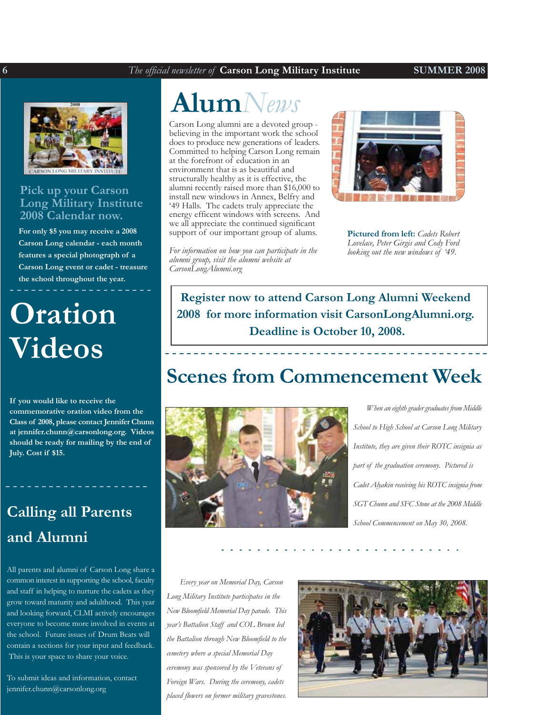#### **SUMMER 2008**



#### Pick up your Carson **Long Military Institute** 2008 Calendar now.

For only \$5 you may receive a 2008 Carson Long calendar - each month features a special photograph of a Carson Long event or cadet - treasure the school throughout the year.

# **Oration** Videos

If you would like to receive the commemorative oration video from the Class of 2008, please contact Jennifer Chunn at jennifer.chunn@carsonlong.org. Videos should be ready for mailing by the end of July. Cost if \$15.

### **Calling all Parents** and Alumni

All parents and alumni of Carson Long share a common interest in supporting the school, faculty and staff in helping to nurture the cadets as they grow toward maturity and adulthood. This year and looking forward, CLMI actively encourages everyone to become more involved in events at the school. Future issues of Drum Beats will contain a sections for your input and feedback. This is your space to share your voice.

To submit ideas and information, contact jennifer.chunn@carsonlong.org

## $\textbf{Alum}$ News

Carson Long alumni are a devoted group believing in the important work the school does to produce new generations of leaders. Committed to helping Carson Long remain at the forefront of education in an environment that is as beautiful and structurally healthy as it is effective, the alumni recently raised more than \$16,000 to install new windows in Annex, Belfry and '49 Halls. The cadets truly appreciate the energy efficent windows with screens. And we all appreciate the continued significant support of our important group of alums.

For information on how you can participate in the alumni group, visit the alumni website at CarsonLongAlumni.org



**Pictured from left:** Cadets Robert Lovelace, Peter Girgis and Cody Ford looking out the new windows of '49.

Register now to attend Carson Long Alumni Weekend 2008 for more information visit CarsonLongAlumni.org. Deadline is October 10, 2008.

### **Scenes from Commencement Week**



When an eighth grader graduates from Middle School to High School at Carson Long Military Institute, they are given their ROTC insignia as part of the graduation ceremony. Pictured is Cadet Alyakin receiving his ROTC insignia from SGT Chunn and SFC Stone at the 2008 Middle School Commencement on May 30, 2008.

Every year on Memorial Day, Carson Long Military Institute participates in the New Bloomfield Memorial Day parade. This year's Battalion Staff and COL Brown led the Battalion through New Bloomfield to the cemetery where a special Memorial Day ceremony was sponsored by the Veterans of Foreign Wars. During the ceremony, cadets placed flowers on former military gravestones.

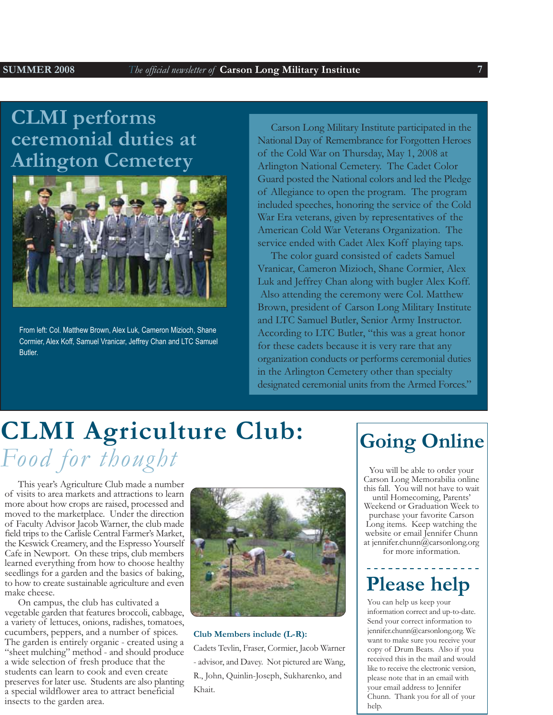### **CLMI** performs ceremonial duties at **Arlington Cemetery**



From left: Col. Matthew Brown, Alex Luk, Cameron Mizioch, Shane Cormier, Alex Koff, Samuel Vranicar, Jeffrey Chan and LTC Samuel Butler.

Carson Long Military Institute participated in the National Day of Remembrance for Forgotten Heroes of the Cold War on Thursday, May 1, 2008 at Arlington National Cemetery. The Cadet Color Guard posted the National colors and led the Pledge of Allegiance to open the program. The program included speeches, honoring the service of the Cold War Era veterans, given by representatives of the American Cold War Veterans Organization. The service ended with Cadet Alex Koff playing taps.

The color guard consisted of cadets Samuel Vranicar, Cameron Mizioch, Shane Cormier, Alex Luk and Jeffrey Chan along with bugler Alex Koff. Also attending the ceremony were Col. Matthew Brown, president of Carson Long Military Institute and LTC Samuel Butler, Senior Army Instructor. According to LTC Butler, "this was a great honor for these cadets because it is very rare that any organization conducts or performs ceremonial duties in the Arlington Cemetery other than specialty designated ceremonial units from the Armed Forces."

# **CLMI Agriculture Club:** Food for thought

This year's Agriculture Club made a number of visits to area markets and attractions to learn more about how crops are raised, processed and moved to the marketplace. Under the direction of Faculty Advisor Jacob Warner, the club made field trips to the Carlisle Central Farmer's Market, the Keswick Creamery, and the Espresso Yourself Cafe in Newport. On these trips, club members learned everything from how to choose healthy seedlings for a garden and the basics of baking, to how to create sustainable agriculture and even make cheese.

On campus, the club has cultivated a vegetable garden that features broccoli, cabbage, a variety of lettuces, onions, radishes, tomatoes, cucumbers, peppers, and a number of spices. The garden is entirely organic - created using a "sheet mulching" method - and should produce a wide selection of fresh produce that the students can learn to cook and even create preserves for later use. Students are also planting a special wildflower area to attract beneficial insects to the garden area.



#### Club Members include (L-R):

Cadets Tevlin, Fraser, Cormier, Jacob Warner - advisor, and Davey. Not pictured are Wang, R., John, Quinlin-Joseph, Sukharenko, and Khait.

### **Going Online**

You will be able to order your Carson Long Memorabilia online this fall. You will not have to wait until Homecoming, Parents' Weekend or Graduation Week to purchase your favorite Carson Long items. Keep watching the website or email Jennifer Chunn at jennifer.chunn@carsonlong.org for more information.

### **Please help**

You can help us keep your information correct and up-to-date. Send your correct information to jennifer.chunn@carsonlong.org. We want to make sure you receive your copy of Drum Beats. Also if you received this in the mail and would like to receive the electronic version, please note that in an email with your email address to Jennifer Chunn. Thank you for all of your help.